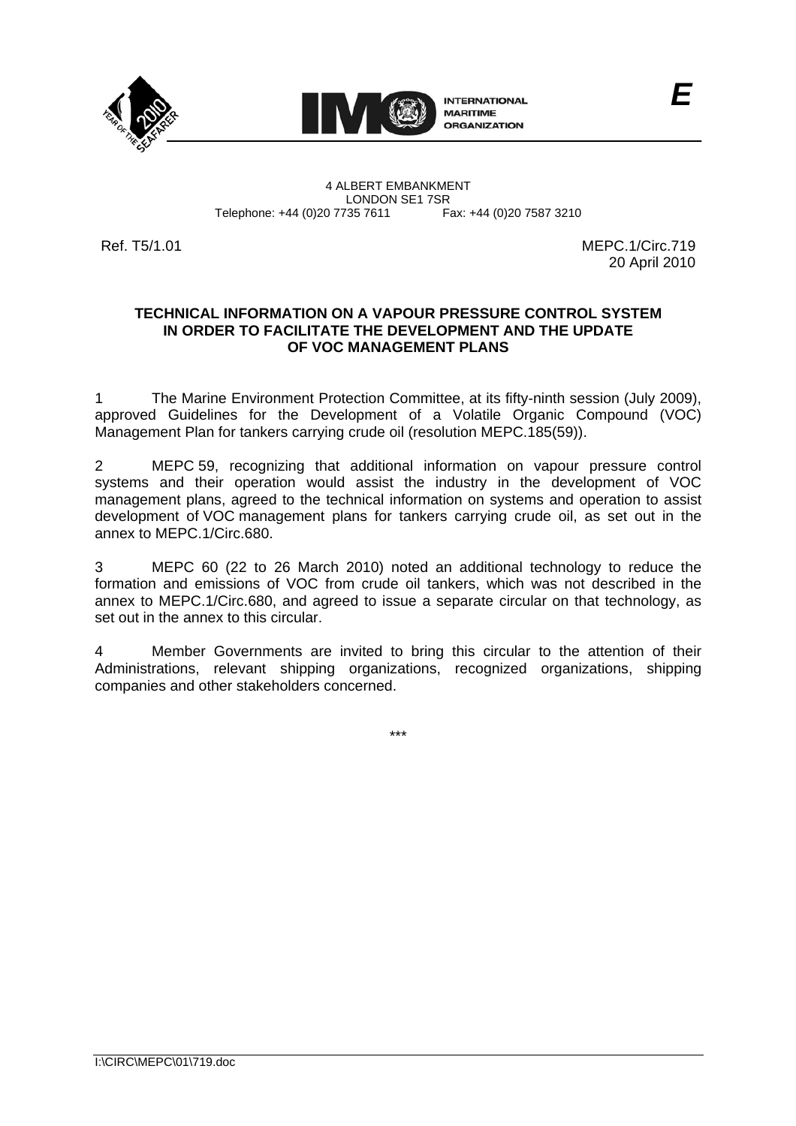



4 ALBERT EMBANKMENT Telephone: +44 (0)20 7735 7611

LONDON SE1 7SR<br>735 7611 Fax: +44 (0)20 7587 3210

Ref. T5/1.01 MEPC. 1/Circ.719 20 April 2010

## **TECHNICAL INFORMATION ON A VAPOUR PRESSURE CONTROL SYSTEM IN ORDER TO FACILITATE THE DEVELOPMENT AND THE UPDATE OF VOC MANAGEMENT PLANS**

1 The Marine Environment Protection Committee, at its fifty-ninth session (July 2009), approved Guidelines for the Development of a Volatile Organic Compound (VOC) Management Plan for tankers carrying crude oil (resolution MEPC.185(59)).

2 MEPC 59, recognizing that additional information on vapour pressure control systems and their operation would assist the industry in the development of VOC management plans, agreed to the technical information on systems and operation to assist development of VOC management plans for tankers carrying crude oil, as set out in the annex to MEPC.1/Circ.680.

3 MEPC 60 (22 to 26 March 2010) noted an additional technology to reduce the formation and emissions of VOC from crude oil tankers, which was not described in the annex to MEPC.1/Circ.680, and agreed to issue a separate circular on that technology, as set out in the annex to this circular.

4 Member Governments are invited to bring this circular to the attention of their Administrations, relevant shipping organizations, recognized organizations, shipping companies and other stakeholders concerned.

\*\*\*

I:\CIRC\MEPC\01\719.doc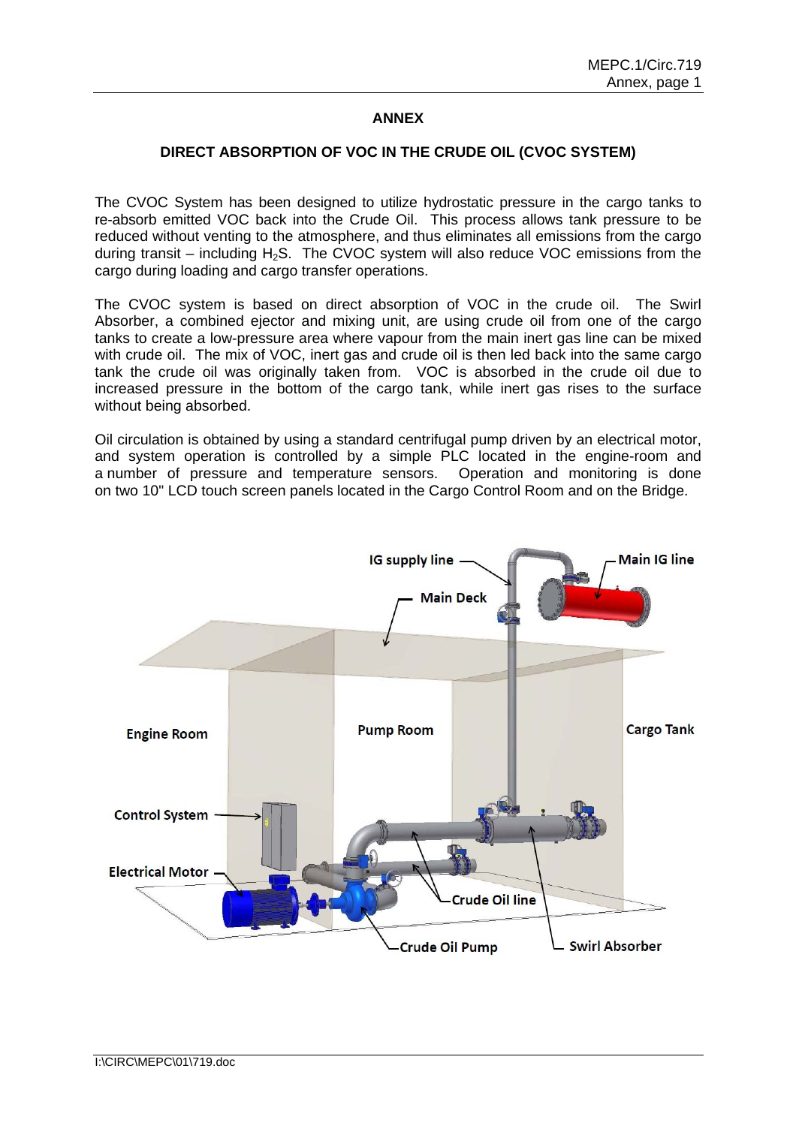## **ANNEX**

## **DIRECT ABSORPTION OF VOC IN THE CRUDE OIL (CVOC SYSTEM)**

The CVOC System has been designed to utilize hydrostatic pressure in the cargo tanks to re-absorb emitted VOC back into the Crude Oil. This process allows tank pressure to be reduced without venting to the atmosphere, and thus eliminates all emissions from the cargo during transit – including  $H_2S$ . The CVOC system will also reduce VOC emissions from the cargo during loading and cargo transfer operations.

The CVOC system is based on direct absorption of VOC in the crude oil. The Swirl Absorber, a combined ejector and mixing unit, are using crude oil from one of the cargo tanks to create a low-pressure area where vapour from the main inert gas line can be mixed with crude oil. The mix of VOC, inert gas and crude oil is then led back into the same cargo tank the crude oil was originally taken from. VOC is absorbed in the crude oil due to increased pressure in the bottom of the cargo tank, while inert gas rises to the surface without being absorbed.

Oil circulation is obtained by using a standard centrifugal pump driven by an electrical motor, and system operation is controlled by a simple PLC located in the engine-room and a number of pressure and temperature sensors. Operation and monitoring is done on two 10" LCD touch screen panels located in the Cargo Control Room and on the Bridge.